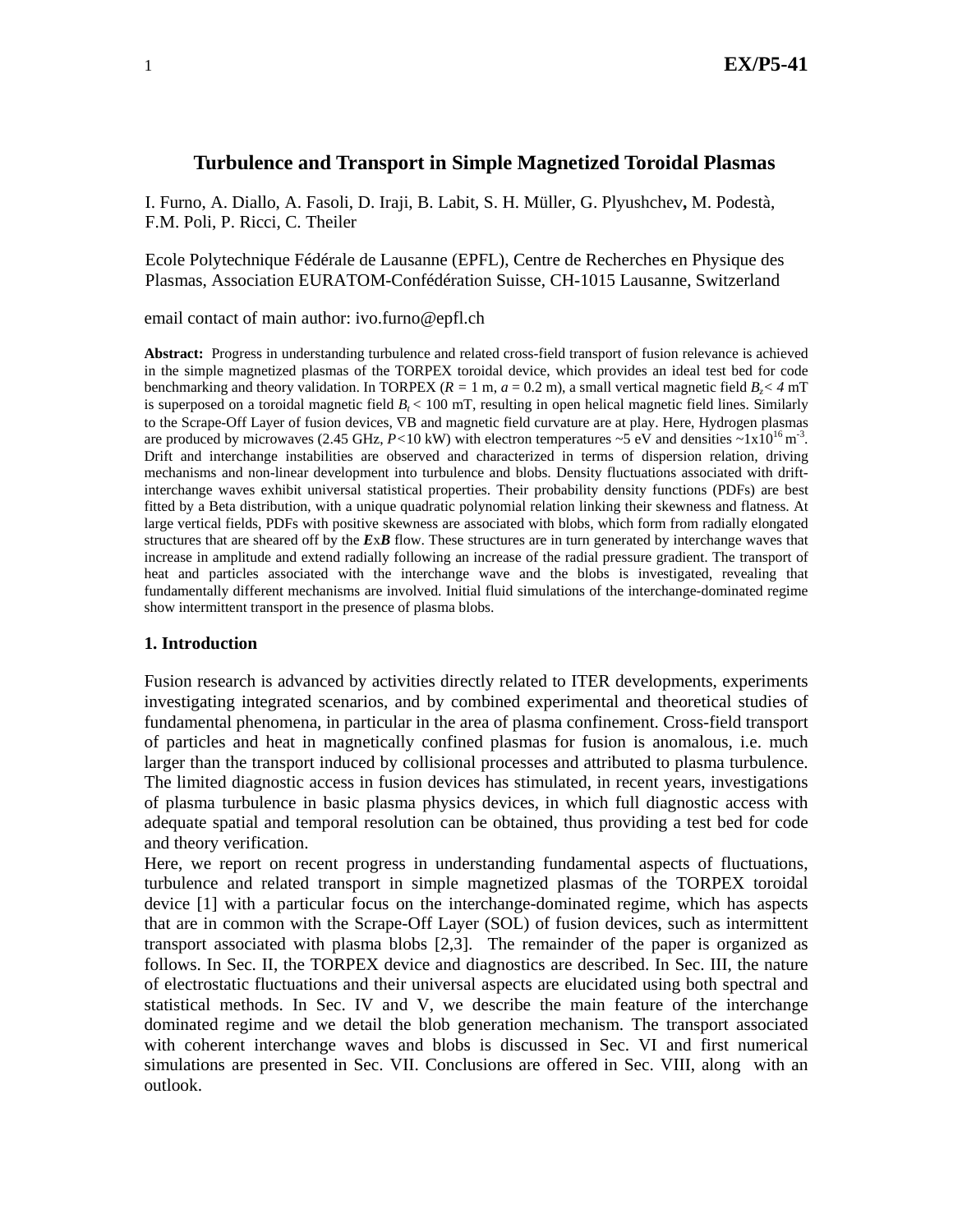# **Turbulence and Transport in Simple Magnetized Toroidal Plasmas**

I. Furno, A. Diallo, A. Fasoli, D. Iraji, B. Labit, S. H. Müller, G. Plyushchev**,** M. Podestà, F.M. Poli, P. Ricci, C. Theiler

Ecole Polytechnique Fédérale de Lausanne (EPFL), Centre de Recherches en Physique des Plasmas, Association EURATOM-Confédération Suisse, CH-1015 Lausanne, Switzerland

email contact of main author: ivo.furno@epfl.ch

**Abstract:** Progress in understanding turbulence and related cross-field transport of fusion relevance is achieved in the simple magnetized plasmas of the TORPEX toroidal device, which provides an ideal test bed for code benchmarking and theory validation. In TORPEX ( $R = 1$  m,  $a = 0.2$  m), a small vertical magnetic field  $B < 4$  mT is superposed on a toroidal magnetic field  $B_t < 100$  mT, resulting in open helical magnetic field lines. Similarly to the Scrape-Off Layer of fusion devices, ∇B and magnetic field curvature are at play. Here, Hydrogen plasmas are produced by microwaves (2.45 GHz,  $P<10$  kW) with electron temperatures  $\sim$ 5 eV and densities  $\sim 1x10^{16}$  m<sup>-3</sup>. Drift and interchange instabilities are observed and characterized in terms of dispersion relation, driving mechanisms and non-linear development into turbulence and blobs. Density fluctuations associated with driftinterchange waves exhibit universal statistical properties. Their probability density functions (PDFs) are best fitted by a Beta distribution, with a unique quadratic polynomial relation linking their skewness and flatness. At large vertical fields, PDFs with positive skewness are associated with blobs, which form from radially elongated structures that are sheared off by the *E*x*B* flow. These structures are in turn generated by interchange waves that increase in amplitude and extend radially following an increase of the radial pressure gradient. The transport of heat and particles associated with the interchange wave and the blobs is investigated, revealing that fundamentally different mechanisms are involved. Initial fluid simulations of the interchange-dominated regime show intermittent transport in the presence of plasma blobs.

### **1. Introduction**

Fusion research is advanced by activities directly related to ITER developments, experiments investigating integrated scenarios, and by combined experimental and theoretical studies of fundamental phenomena, in particular in the area of plasma confinement. Cross-field transport of particles and heat in magnetically confined plasmas for fusion is anomalous, i.e. much larger than the transport induced by collisional processes and attributed to plasma turbulence. The limited diagnostic access in fusion devices has stimulated, in recent years, investigations of plasma turbulence in basic plasma physics devices, in which full diagnostic access with adequate spatial and temporal resolution can be obtained, thus providing a test bed for code and theory verification.

Here, we report on recent progress in understanding fundamental aspects of fluctuations, turbulence and related transport in simple magnetized plasmas of the TORPEX toroidal device [1] with a particular focus on the interchange-dominated regime, which has aspects that are in common with the Scrape-Off Layer (SOL) of fusion devices, such as intermittent transport associated with plasma blobs [2,3]. The remainder of the paper is organized as follows. In Sec. II, the TORPEX device and diagnostics are described. In Sec. III, the nature of electrostatic fluctuations and their universal aspects are elucidated using both spectral and statistical methods. In Sec. IV and V, we describe the main feature of the interchange dominated regime and we detail the blob generation mechanism. The transport associated with coherent interchange waves and blobs is discussed in Sec. VI and first numerical simulations are presented in Sec. VII. Conclusions are offered in Sec. VIII, along with an outlook.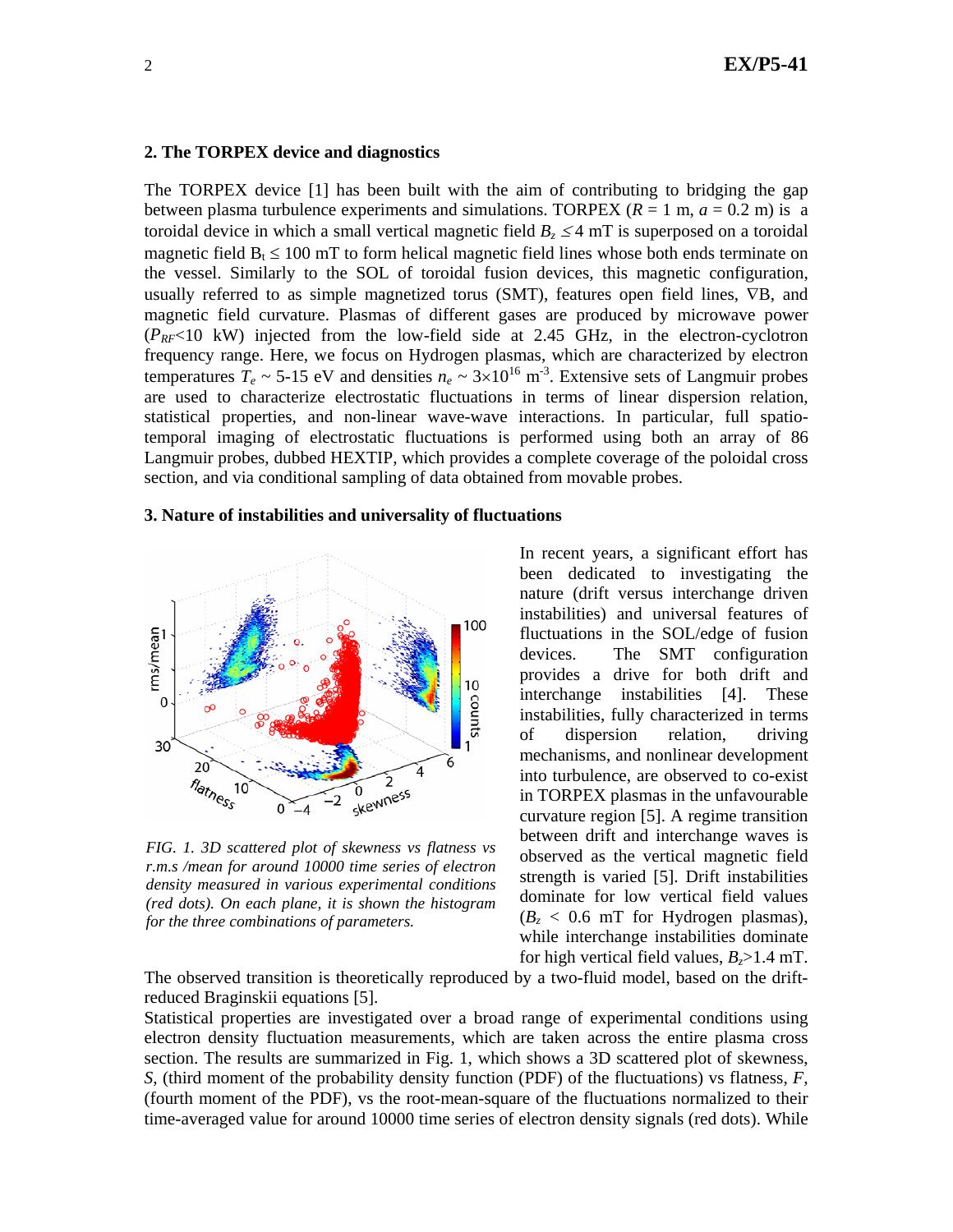#### **2. The TORPEX device and diagnostics**

The TORPEX device [1] has been built with the aim of contributing to bridging the gap between plasma turbulence experiments and simulations. TORPEX  $(R = 1 \text{ m}, a = 0.2 \text{ m})$  is a toroidal device in which a small vertical magnetic field  $B_z \leq 4$  mT is superposed on a toroidal magnetic field  $B_t \le 100$  mT to form helical magnetic field lines whose both ends terminate on the vessel. Similarly to the SOL of toroidal fusion devices, this magnetic configuration, usually referred to as simple magnetized torus (SMT), features open field lines, ∇B, and magnetic field curvature. Plasmas of different gases are produced by microwave power  $(P_{RF} < 10$  kW) injected from the low-field side at 2.45 GHz, in the electron-cyclotron frequency range. Here, we focus on Hydrogen plasmas, which are characterized by electron temperatures  $T_e \sim 5{\text -}15 \text{ eV}$  and densities  $n_e \sim 3{\times}10^{16} \text{ m}^3$ . Extensive sets of Langmuir probes are used to characterize electrostatic fluctuations in terms of linear dispersion relation, statistical properties, and non-linear wave-wave interactions. In particular, full spatiotemporal imaging of electrostatic fluctuations is performed using both an array of 86 Langmuir probes, dubbed HEXTIP, which provides a complete coverage of the poloidal cross section, and via conditional sampling of data obtained from movable probes.

### **3. Nature of instabilities and universality of fluctuations**



*FIG. 1. 3D scattered plot of skewness vs flatness vs r.m.s /mean for around 10000 time series of electron density measured in various experimental conditions (red dots). On each plane, it is shown the histogram for the three combinations of parameters.*

In recent years, a significant effort has been dedicated to investigating the nature (drift versus interchange driven instabilities) and universal features of fluctuations in the SOL/edge of fusion devices. The SMT configuration provides a drive for both drift and interchange instabilities [4]. These instabilities, fully characterized in terms of dispersion relation, driving mechanisms, and nonlinear development into turbulence, are observed to co-exist in TORPEX plasmas in the unfavourable curvature region [5]. A regime transition between drift and interchange waves is observed as the vertical magnetic field strength is varied [5]. Drift instabilities dominate for low vertical field values  $(B<sub>z</sub> < 0.6$  mT for Hydrogen plasmas), while interchange instabilities dominate for high vertical field values,  $B_z > 1.4$  mT.

The observed transition is theoretically reproduced by a two-fluid model, based on the driftreduced Braginskii equations [5].

Statistical properties are investigated over a broad range of experimental conditions using electron density fluctuation measurements, which are taken across the entire plasma cross section. The results are summarized in Fig. 1, which shows a 3D scattered plot of skewness, *S*, (third moment of the probability density function (PDF) of the fluctuations) vs flatness, *F,* (fourth moment of the PDF), vs the root-mean-square of the fluctuations normalized to their time-averaged value for around 10000 time series of electron density signals (red dots). While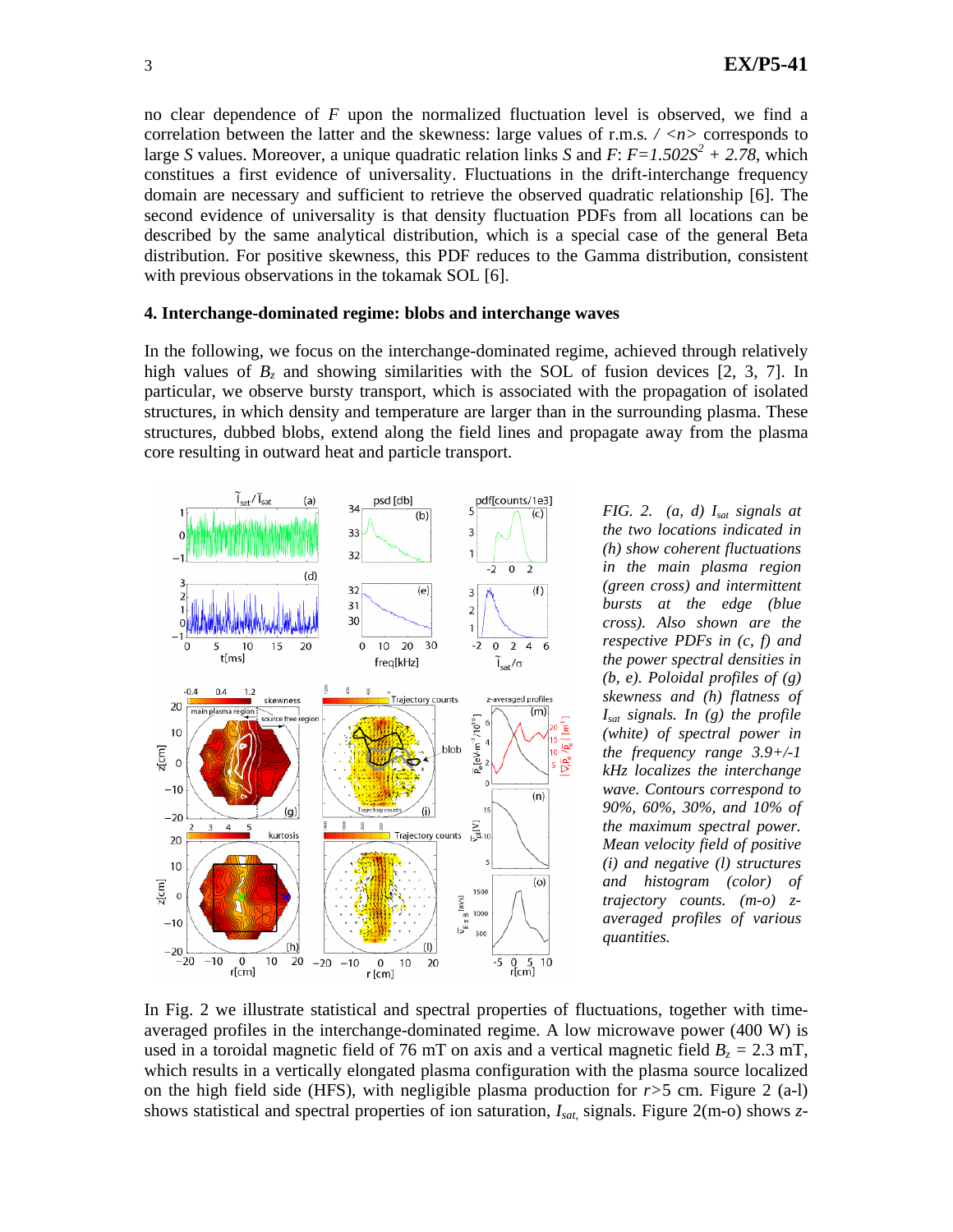no clear dependence of *F* upon the normalized fluctuation level is observed, we find a correlation between the latter and the skewness: large values of r.m.s*. / <n>* corresponds to large *S* values. Moreover, a unique quadratic relation links *S* and *F*:  $F=1.502S^2 + 2.78$ , which constitues a first evidence of universality. Fluctuations in the drift-interchange frequency domain are necessary and sufficient to retrieve the observed quadratic relationship [6]. The second evidence of universality is that density fluctuation PDFs from all locations can be described by the same analytical distribution, which is a special case of the general Beta distribution. For positive skewness, this PDF reduces to the Gamma distribution, consistent with previous observations in the tokamak SOL [6].

#### **4. Interchange-dominated regime: blobs and interchange waves**

In the following, we focus on the interchange-dominated regime, achieved through relatively high values of  $B_z$  and showing similarities with the SOL of fusion devices [2, 3, 7]. In particular, we observe bursty transport, which is associated with the propagation of isolated structures, in which density and temperature are larger than in the surrounding plasma. These structures, dubbed blobs, extend along the field lines and propagate away from the plasma core resulting in outward heat and particle transport.



*FIG. 2. (a, d) Isat signals at the two locations indicated in (h) show coherent fluctuations in the main plasma region (green cross) and intermittent bursts at the edge (blue cross). Also shown are the respective PDFs in (c, f) and the power spectral densities in (b, e). Poloidal profiles of (g) skewness and (h) flatness of Isat signals. In (g) the profile (white) of spectral power in the frequency range 3.9+/-1 kHz localizes the interchange wave. Contours correspond to 90%, 60%, 30%, and 10% of the maximum spectral power. Mean velocity field of positive (i) and negative (l) structures and histogram (color) of trajectory counts. (m-o) zaveraged profiles of various quantities.* 

In Fig. 2 we illustrate statistical and spectral properties of fluctuations, together with timeaveraged profiles in the interchange-dominated regime. A low microwave power (400 W) is used in a toroidal magnetic field of 76 mT on axis and a vertical magnetic field  $B_z = 2.3$  mT, which results in a vertically elongated plasma configuration with the plasma source localized on the high field side (HFS), with negligible plasma production for *r>*5 cm. Figure 2 (a-l) shows statistical and spectral properties of ion saturation, *Isat,* signals. Figure 2(m-o) shows *z*-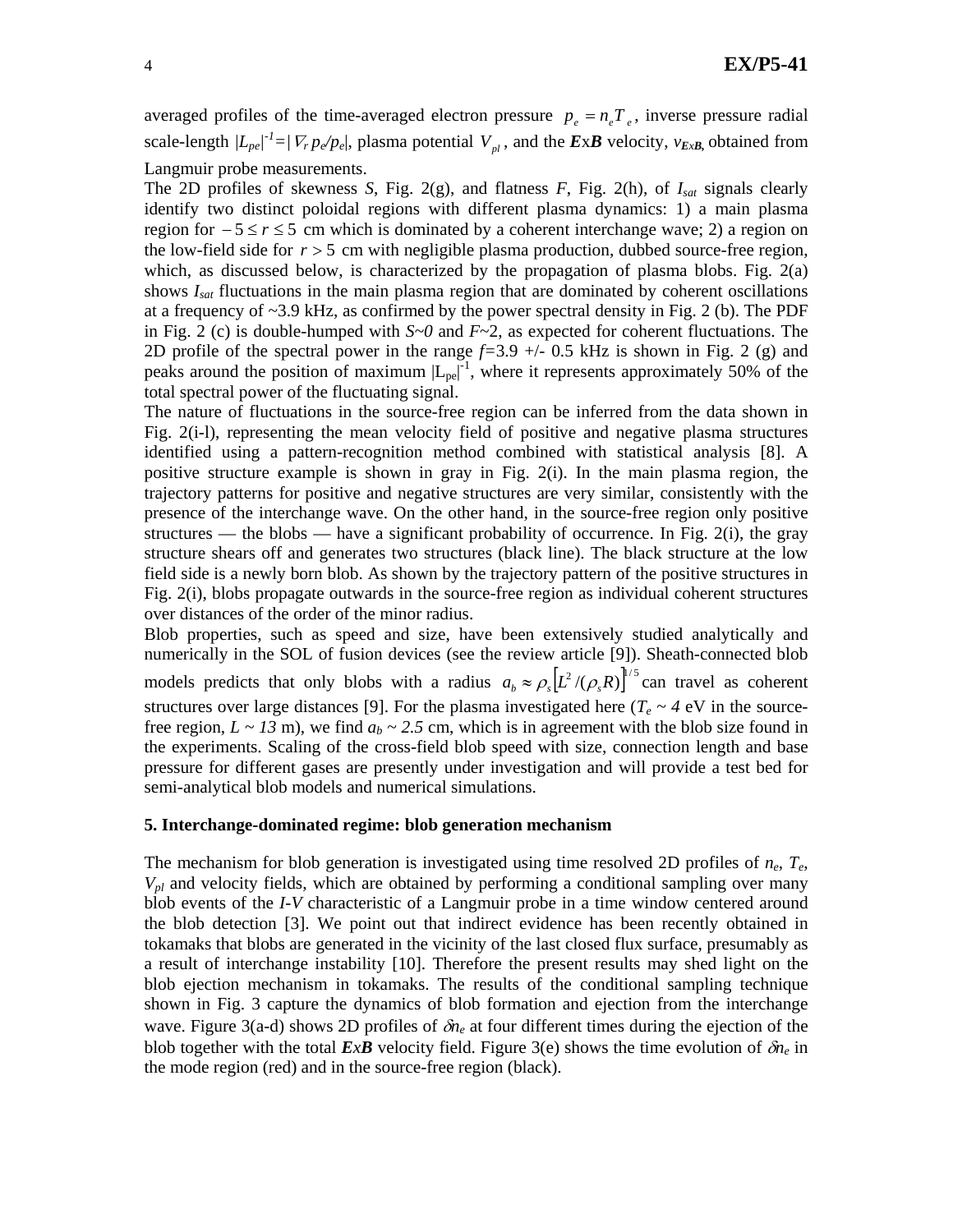averaged profiles of the time-averaged electron pressure  $p_e = n_e T_e$ , inverse pressure radial scale-length  $|L_{pe}|^2 = |\nabla_r p_e/p_e|$ , plasma potential  $V_{pl}$ , and the *ExB* velocity,  $v_{ExB}$ , obtained from Langmuir probe measurements.

The 2D profiles of skewness *S*, Fig. 2(g), and flatness *F*, Fig. 2(h), of *Isat* signals clearly identify two distinct poloidal regions with different plasma dynamics: 1) a main plasma region for − 5 ≤ *r* ≤ 5 cm which is dominated by a coherent interchange wave; 2) a region on the low-field side for  $r > 5$  cm with negligible plasma production, dubbed source-free region, which, as discussed below, is characterized by the propagation of plasma blobs. Fig. 2(a) shows *Isat* fluctuations in the main plasma region that are dominated by coherent oscillations at a frequency of ~3.9 kHz, as confirmed by the power spectral density in Fig. 2 (b). The PDF in Fig. 2 (c) is double-humped with  $S~0$  and  $F~2$ , as expected for coherent fluctuations. The 2D profile of the spectral power in the range *f=*3.9 +/- 0.5 kHz is shown in Fig. 2 (g) and peaks around the position of maximum  $|L_{pe}|^{-1}$ , where it represents approximately 50% of the total spectral power of the fluctuating signal.

The nature of fluctuations in the source-free region can be inferred from the data shown in Fig. 2(i-l), representing the mean velocity field of positive and negative plasma structures identified using a pattern-recognition method combined with statistical analysis [8]. A positive structure example is shown in gray in Fig. 2(i). In the main plasma region, the trajectory patterns for positive and negative structures are very similar, consistently with the presence of the interchange wave. On the other hand, in the source-free region only positive structures — the blobs — have a significant probability of occurrence. In Fig.  $2(i)$ , the gray structure shears off and generates two structures (black line). The black structure at the low field side is a newly born blob. As shown by the trajectory pattern of the positive structures in Fig. 2(i), blobs propagate outwards in the source-free region as individual coherent structures over distances of the order of the minor radius.

Blob properties, such as speed and size, have been extensively studied analytically and numerically in the SOL of fusion devices (see the review article [9]). Sheath-connected blob models predicts that only blobs with a radius  $a_b \approx \rho_s [ L^2 / (\rho_s R) ]^{1/5}$  can travel as coherent structures over large distances [9]. For the plasma investigated here ( $T_e \sim 4$  eV in the sourcefree region,  $L \sim 13$  m), we find  $a_b \sim 2.5$  cm, which is in agreement with the blob size found in the experiments. Scaling of the cross-field blob speed with size, connection length and base pressure for different gases are presently under investigation and will provide a test bed for semi-analytical blob models and numerical simulations.

### **5. Interchange-dominated regime: blob generation mechanism**

The mechanism for blob generation is investigated using time resolved 2D profiles of *ne*, *Te*, *Vpl* and velocity fields, which are obtained by performing a conditional sampling over many blob events of the *I*-*V* characteristic of a Langmuir probe in a time window centered around the blob detection [3]. We point out that indirect evidence has been recently obtained in tokamaks that blobs are generated in the vicinity of the last closed flux surface, presumably as a result of interchange instability [10]. Therefore the present results may shed light on the blob ejection mechanism in tokamaks. The results of the conditional sampling technique shown in Fig. 3 capture the dynamics of blob formation and ejection from the interchange wave. Figure 3(a-d) shows 2D profiles of δ*ne* at four different times during the ejection of the blob together with the total  $ExB$  velocity field. Figure 3(e) shows the time evolution of  $\delta n_e$  in the mode region (red) and in the source-free region (black).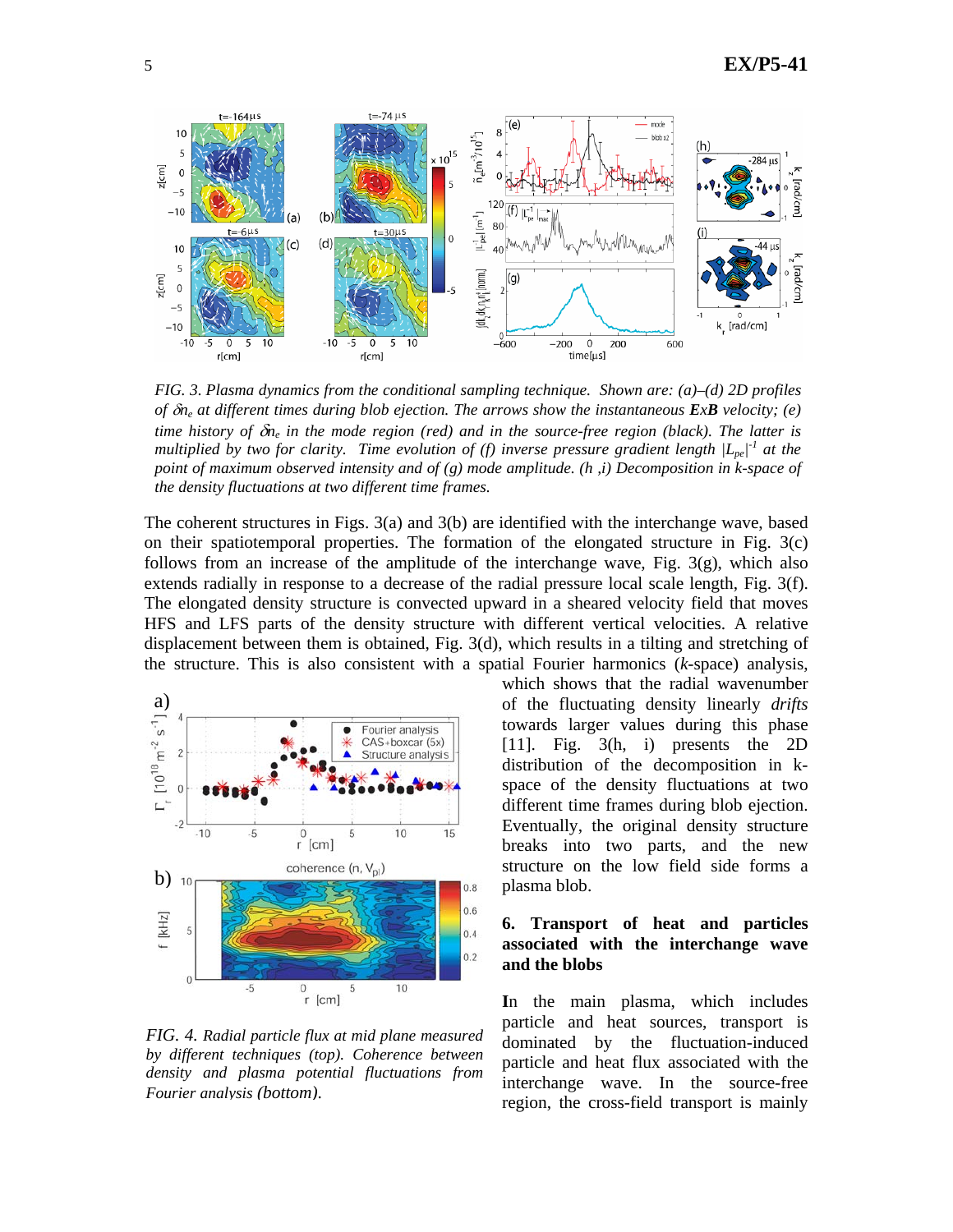

*FIG. 3. Plasma dynamics from the conditional sampling technique. Shown are: (a)–(d) 2D profiles of* δ*ne at different times during blob ejection. The arrows show the instantaneous ExB velocity; (e) time history of* δ*ne in the mode region (red) and in the source-free region (black). The latter is multiplied by two for clarity. Time evolution of (f) inverse pressure gradient length*  $|L_{pe}|^T$  *at the point of maximum observed intensity and of (g) mode amplitude. (h ,i) Decomposition in k-space of the density fluctuations at two different time frames.* 

The coherent structures in Figs. 3(a) and 3(b) are identified with the interchange wave, based on their spatiotemporal properties. The formation of the elongated structure in Fig. 3(c) follows from an increase of the amplitude of the interchange wave, Fig.  $3(g)$ , which also extends radially in response to a decrease of the radial pressure local scale length, Fig. 3(f). The elongated density structure is convected upward in a sheared velocity field that moves HFS and LFS parts of the density structure with different vertical velocities. A relative displacement between them is obtained, Fig. 3(d), which results in a tilting and stretching of the structure. This is also consistent with a spatial Fourier harmonics (*k*-space) analysis,



*FIG. 4. Radial particle flux at mid plane measured by different techniques (top). Coherence between density and plasma potential fluctuations from Fourier analysis (bottom)*.

which shows that the radial wavenumber of the fluctuating density linearly *drifts* towards larger values during this phase [11]. Fig. 3(h, i) presents the 2D distribution of the decomposition in kspace of the density fluctuations at two different time frames during blob ejection. Eventually, the original density structure breaks into two parts, and the new structure on the low field side forms a plasma blob.

# **6. Transport of heat and particles associated with the interchange wave and the blobs**

**I**n the main plasma, which includes particle and heat sources, transport is dominated by the fluctuation-induced particle and heat flux associated with the interchange wave. In the source-free region, the cross-field transport is mainly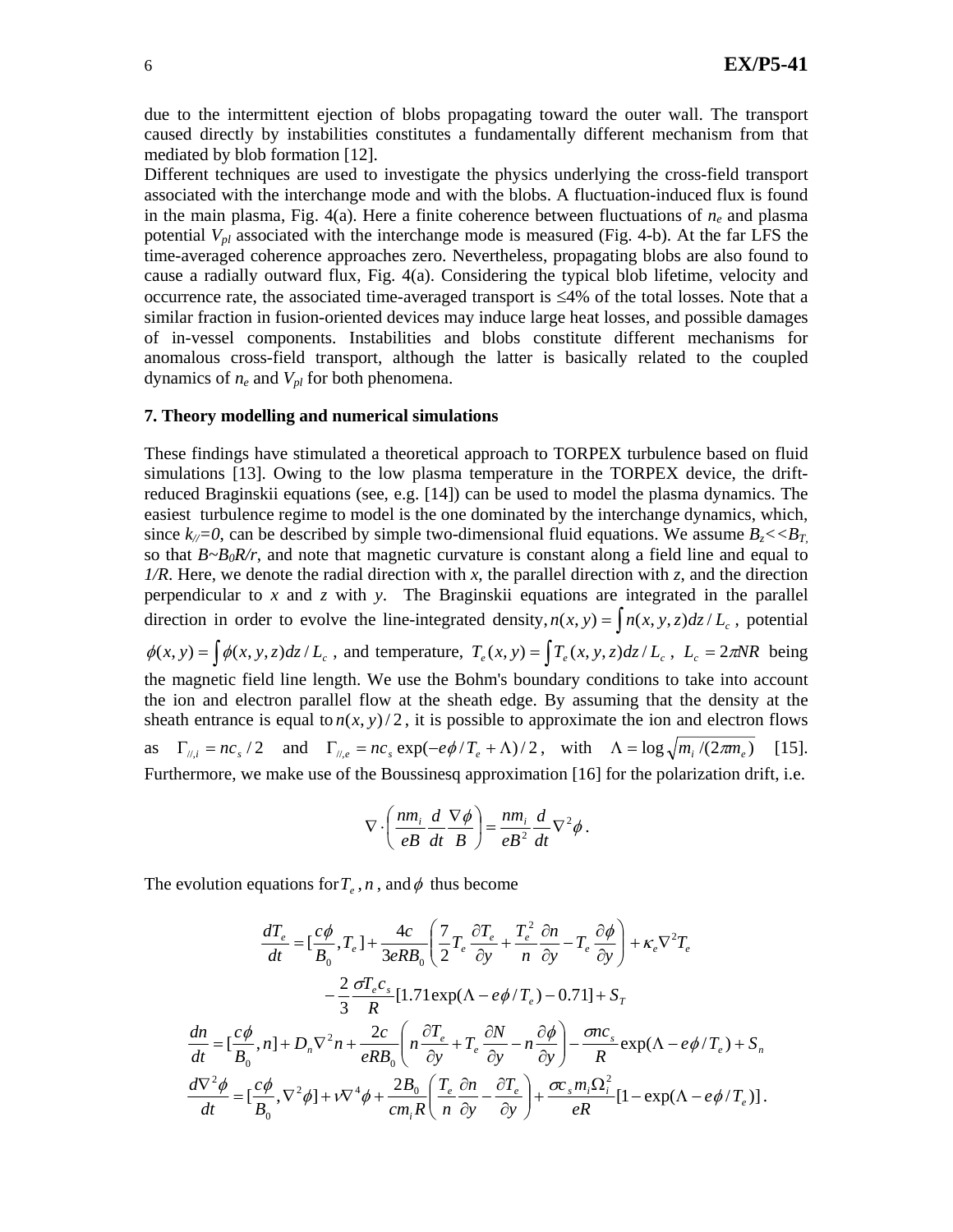due to the intermittent ejection of blobs propagating toward the outer wall. The transport caused directly by instabilities constitutes a fundamentally different mechanism from that mediated by blob formation [12].

Different techniques are used to investigate the physics underlying the cross-field transport associated with the interchange mode and with the blobs. A fluctuation-induced flux is found in the main plasma, Fig.  $4(a)$ . Here a finite coherence between fluctuations of  $n_e$  and plasma potential *Vpl* associated with the interchange mode is measured (Fig. 4-b). At the far LFS the time-averaged coherence approaches zero. Nevertheless, propagating blobs are also found to cause a radially outward flux, Fig. 4(a). Considering the typical blob lifetime, velocity and occurrence rate, the associated time-averaged transport is ≤4% of the total losses. Note that a similar fraction in fusion-oriented devices may induce large heat losses, and possible damages of in-vessel components. Instabilities and blobs constitute different mechanisms for anomalous cross-field transport, although the latter is basically related to the coupled dynamics of  $n_e$  and  $V_{pl}$  for both phenomena.

#### **7. Theory modelling and numerical simulations**

These findings have stimulated a theoretical approach to TORPEX turbulence based on fluid simulations [13]. Owing to the low plasma temperature in the TORPEX device, the driftreduced Braginskii equations (see, e.g. [14]) can be used to model the plasma dynamics. The easiest turbulence regime to model is the one dominated by the interchange dynamics, which, since  $k_{\ell}=0$ , can be described by simple two-dimensional fluid equations. We assume  $B_z \ll B_T$ , so that  $B \sim B_0 R/r$ , and note that magnetic curvature is constant along a field line and equal to *1/R*. Here, we denote the radial direction with *x*, the parallel direction with *z*, and the direction perpendicular to *x* and *z* with *y*. The Braginskii equations are integrated in the parallel direction in order to evolve the line-integrated density,  $n(x, y) = \int n(x, y, z) dz / L_c$ , potential  $\phi(x, y) = \int \phi(x, y, z) dz / L_c$ , and temperature,  $T_e(x, y) = \int T_e(x, y, z) dz / L_c$ ,  $L_c = 2\pi NR$  being the magnetic field line length. We use the Bohm's boundary conditions to take into account the ion and electron parallel flow at the sheath edge. By assuming that the density at the sheath entrance is equal to  $n(x, y)/2$ , it is possible to approximate the ion and electron flows as  $\Gamma_{\mu i} = n c_s / 2$  and  $\Gamma_{\mu e} = n c_s \exp(-e\phi/T_e + \Lambda)/2$ , with  $\Lambda = \log \sqrt{m_i / (2 \pi m_e)}$  [15]. Furthermore, we make use of the Boussinesq approximation [16] for the polarization drift, i.e.

$$
\nabla \cdot \left(\frac{nm_i}{eB}\frac{d}{dt}\frac{\nabla \phi}{B}\right) = \frac{nm_i}{eB^2}\frac{d}{dt}\nabla^2 \phi.
$$

The evolution equations for  $T_e$ ,  $n$ , and  $\phi$  thus become

$$
\frac{dT_e}{dt} = \left[\frac{c\phi}{B_0}, T_e\right] + \frac{4c}{3eRB_0} \left(\frac{7}{2}T_e \frac{\partial T_e}{\partial y} + \frac{T_e^2}{n} \frac{\partial n}{\partial y} - T_e \frac{\partial \phi}{\partial y}\right) + \kappa_e \nabla^2 T_e
$$

$$
- \frac{2}{3} \frac{\sigma T_e c_s}{R} [1.71 \exp(\Lambda - e\phi/T_e) - 0.71] + S_T
$$

$$
\frac{dn}{dt} = \left[\frac{c\phi}{B_0}, n\right] + D_n \nabla^2 n + \frac{2c}{eRB_0} \left(n \frac{\partial T_e}{\partial y} + T_e \frac{\partial N}{\partial y} - n \frac{\partial \phi}{\partial y}\right) - \frac{\sigma nc_s}{R} \exp(\Lambda - e\phi/T_e) + S_n
$$

$$
\frac{d\nabla^2 \phi}{dt} = \left[\frac{c\phi}{B_0}, \nabla^2 \phi\right] + \nu \nabla^4 \phi + \frac{2B_0}{cm_i R} \left(\frac{T_e}{n} \frac{\partial n}{\partial y} - \frac{\partial T_e}{\partial y}\right) + \frac{\sigma c_s m_i \Omega_i^2}{eR} [1 - \exp(\Lambda - e\phi/T_e)].
$$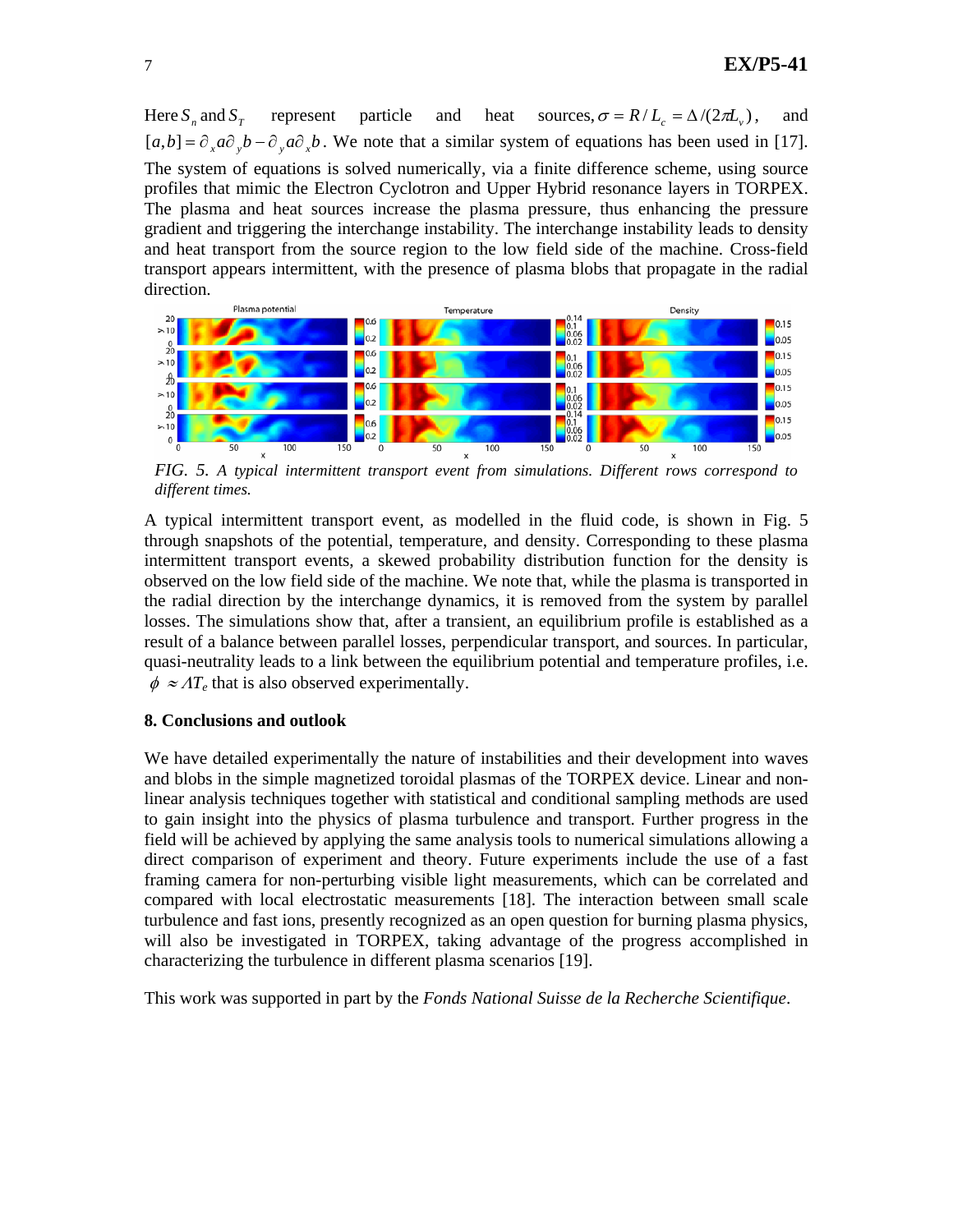Here  $S_n$  and  $S_r$  represent particle and heat sources,  $\sigma = R/L_c = \Delta/(2\pi L_v)$ , and  $[a,b] = \partial_{x} a \partial_{y} b - \partial_{y} a \partial_{y} b$ . We note that a similar system of equations has been used in [17]. The system of equations is solved numerically, via a finite difference scheme, using source profiles that mimic the Electron Cyclotron and Upper Hybrid resonance layers in TORPEX. The plasma and heat sources increase the plasma pressure, thus enhancing the pressure gradient and triggering the interchange instability. The interchange instability leads to density and heat transport from the source region to the low field side of the machine. Cross-field transport appears intermittent, with the presence of plasma blobs that propagate in the radial direction.



*FIG. 5. A typical intermittent transport event from simulations. Different rows correspond to different times.*

A typical intermittent transport event, as modelled in the fluid code, is shown in Fig. 5 through snapshots of the potential, temperature, and density. Corresponding to these plasma intermittent transport events, a skewed probability distribution function for the density is observed on the low field side of the machine. We note that, while the plasma is transported in the radial direction by the interchange dynamics, it is removed from the system by parallel losses. The simulations show that, after a transient, an equilibrium profile is established as a result of a balance between parallel losses, perpendicular transport, and sources. In particular, quasi-neutrality leads to a link between the equilibrium potential and temperature profiles, i.e.  $\phi \approx \Lambda T_e$  that is also observed experimentally.

## **8. Conclusions and outlook**

We have detailed experimentally the nature of instabilities and their development into waves and blobs in the simple magnetized toroidal plasmas of the TORPEX device. Linear and nonlinear analysis techniques together with statistical and conditional sampling methods are used to gain insight into the physics of plasma turbulence and transport. Further progress in the field will be achieved by applying the same analysis tools to numerical simulations allowing a direct comparison of experiment and theory. Future experiments include the use of a fast framing camera for non-perturbing visible light measurements, which can be correlated and compared with local electrostatic measurements [18]. The interaction between small scale turbulence and fast ions, presently recognized as an open question for burning plasma physics, will also be investigated in TORPEX, taking advantage of the progress accomplished in characterizing the turbulence in different plasma scenarios [19].

This work was supported in part by the *Fonds National Suisse de la Recherche Scientifique*.